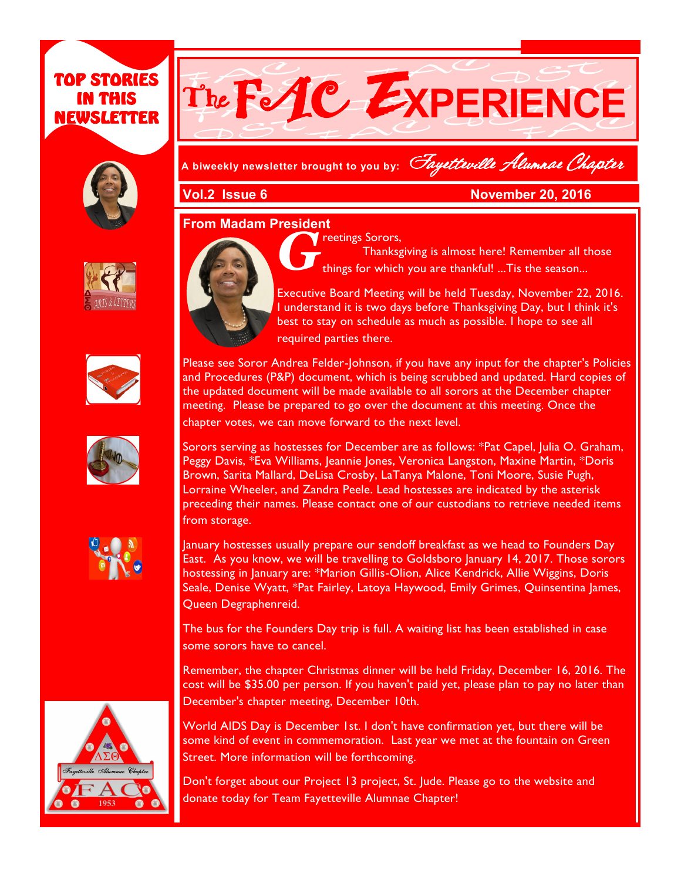# TOP STORIES IN THIS NEWSLETTER





**A biweekly newsletter brought to you by:** Fayetteville Alumnae Chapter

**Vol.2 Issue 6 November 20, 2016** 

#### **From Madam President**





$$
\begin{pmatrix} \mathbf{r}_{11} \\ \mathbf{r}_{21} \\ \mathbf{r}_{31} \end{pmatrix}
$$





*G* reetings Sorors,

Thanksgiving is almost here! Remember all those things for which you are thankful! ...Tis the season...

Executive Board Meeting will be held Tuesday, November 22, 2016. I understand it is two days before Thanksgiving Day, but I think it's best to stay on schedule as much as possible. I hope to see all required parties there.

Please see Soror Andrea Felder-Johnson, if you have any input for the chapter's Policies and Procedures (P&P) document, which is being scrubbed and updated. Hard copies of the updated document will be made available to all sorors at the December chapter meeting. Please be prepared to go over the document at this meeting. Once the chapter votes, we can move forward to the next level.

Sorors serving as hostesses for December are as follows: \*Pat Capel, Julia O. Graham, Peggy Davis, \*Eva Williams, Jeannie Jones, Veronica Langston, Maxine Martin, \*Doris Brown, Sarita Mallard, DeLisa Crosby, LaTanya Malone, Toni Moore, Susie Pugh, Lorraine Wheeler, and Zandra Peele. Lead hostesses are indicated by the asterisk preceding their names. Please contact one of our custodians to retrieve needed items from storage.

January hostesses usually prepare our sendoff breakfast as we head to Founders Day East. As you know, we will be travelling to Goldsboro January 14, 2017. Those sorors hostessing in January are: \*Marion Gillis-Olion, Alice Kendrick, Allie Wiggins, Doris Seale, Denise Wyatt, \*Pat Fairley, Latoya Haywood, Emily Grimes, Quinsentina James, Queen Degraphenreid.

The bus for the Founders Day trip is full. A waiting list has been established in case some sorors have to cancel.

Remember, the chapter Christmas dinner will be held Friday, December 16, 2016. The cost will be \$35.00 per person. If you haven't paid yet, please plan to pay no later than December's chapter meeting, December 10th.

World AIDS Day is December 1st. I don't have confirmation yet, but there will be some kind of event in commemoration. Last year we met at the fountain on Green Street. More information will be forthcoming.

Don't forget about our Project 13 project, St. Jude. Please go to the website and donate today for Team Fayetteville Alumnae Chapter!